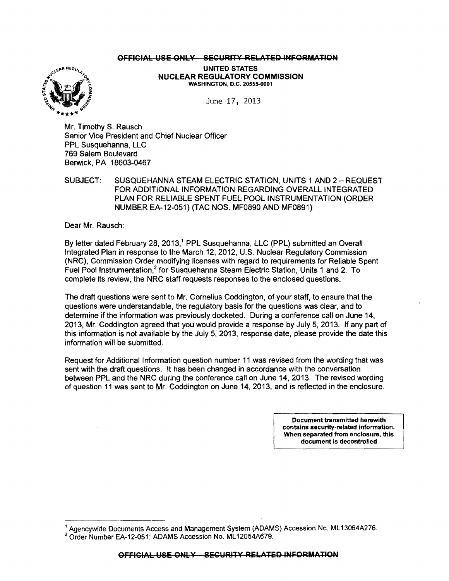## OFFICIAL USE ONLY SECURITY RELATED INFORMATION



UNITED STATES NUCLEAR REGULATORY COMMISSION WASHINGTON, D.C. 20555-0001

June 17, 2013

Mr. Timothy S. Rausch Senior Vice President and Chief Nuclear Officer PPL Susquehanna, LLC 769 Salem Boulevard Berwick, PA 18603-0467

SUBJECT: SUSQUEHANNA STEAM ELECTRIC STATION, UNITS 1 AND 2 - REQUEST FOR ADDITIONAL INFORMATION REGARDING OVERALL INTEGRATED PLAN FOR RELIABLE SPENT FUEL POOL INSTRUMENTATION (ORDER NUMBER EA-12-051) (TAC NOS. MF0890 AND MF0891)

Dear Mr. Rausch:

By letter dated February 28, 2013,<sup>1</sup> PPL Susquehanna, LLC (PPL) submitted an Overall Integrated Plan in response to the March 12,2012, U.S. Nuclear Regulatory Commission (NRC), Commission Order modifying licenses with regard to requirements for Reliable Spent Fuel Pool Instrumentation,<sup>2</sup> for Susquehanna Steam Electric Station, Units 1 and 2. To complete its review, the NRC staff requests responses to the enclosed questions.

The draft questions were sent to Mr. Cornelius Coddington, of your staff, to ensure that the questions were understandable, the regulatory basis for the questions was clear, and to determine if the information was previously docketed. During a conference call on June 14, 2013, Mr. Coddington agreed that you would provide a response by July 5,2013. If any part of this information is not available by the July 5, 2013, response date, please provide the date this information will be submitted.

Request for Additional Information question number 11 was revised from the wording that was sent with the draft questions. It has been changed in accordance with the conversation between PPL and the NRC during the conference call on June 14, 2013. The revised wording of question 11 was sent to Mr. Coddington on June 14, 2013, and IS reflected in the enclosure.

> Document transmitted herewith contains security-related Information. When separated from enclosure, this document is decontrolled

<sup>1</sup>Agencywide Documents Access and Management System (ADAMS) Accession No. ML 13064A276. <sup>2</sup> Order Number EA-12-051; ADAMS Accession No. ML12054A679.

OFFICIAL USE ONLY - SECURITY RELATED INFORMATION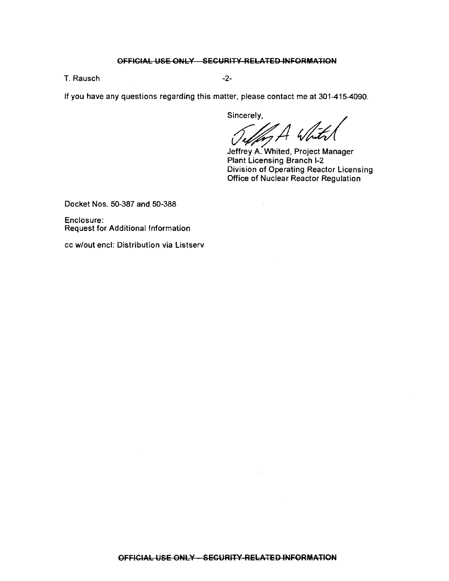## OFFICIAL USE ONLY SECURITY RElATED INFORMATION

T. Rausch -2-

If you have any questions regarding this matter, please contact me at 301-415-4090.

Sincerely,

Sellen A White

Jeffrey A. Whited. Project Manager Plant Licensing Branch 1-2 Division of Operating Reactor licensing Office of Nuclear Reactor Regulation

Docket Nos. 50-387 and 50-388

Enclosure: Request for Additional Information

cc w/out encl: Distribution via Listserv